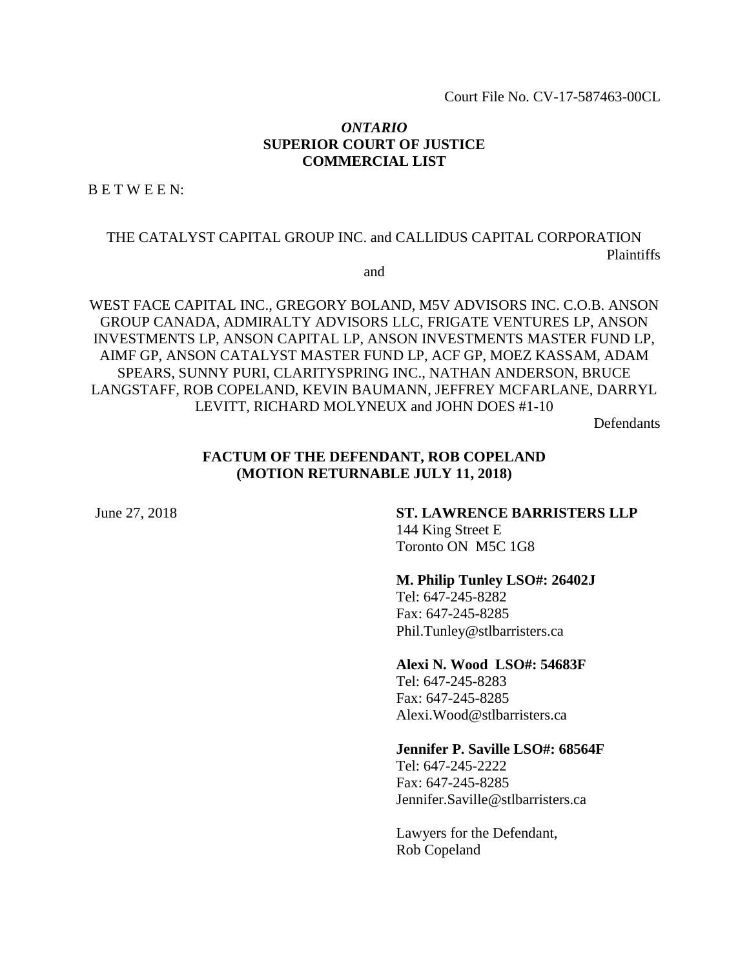Court File No. CV-17-587463-00CL

#### *ONTARIO* **SUPERIOR COURT OF JUSTICE COMMERCIAL LIST**

B E T W E E N:

## THE CATALYST CAPITAL GROUP INC. and CALLIDUS CAPITAL CORPORATION Plaintiffs

and

WEST FACE CAPITAL INC., GREGORY BOLAND, M5V ADVISORS INC. C.O.B. ANSON GROUP CANADA, ADMIRALTY ADVISORS LLC, FRIGATE VENTURES LP, ANSON INVESTMENTS LP, ANSON CAPITAL LP, ANSON INVESTMENTS MASTER FUND LP, AIMF GP, ANSON CATALYST MASTER FUND LP, ACF GP, MOEZ KASSAM, ADAM SPEARS, SUNNY PURI, CLARITYSPRING INC., NATHAN ANDERSON, BRUCE LANGSTAFF, ROB COPELAND, KEVIN BAUMANN, JEFFREY MCFARLANE, DARRYL LEVITT, RICHARD MOLYNEUX and JOHN DOES #1-10

**Defendants** 

### **FACTUM OF THE DEFENDANT, ROB COPELAND (MOTION RETURNABLE JULY 11, 2018)**

# June 27, 2018 **ST. LAWRENCE BARRISTERS LLP**

144 King Street E Toronto ON M5C 1G8

#### **M. Philip Tunley LSO#: 26402J**

Tel: 647-245-8282 Fax: 647-245-8285 Phil.Tunley@stlbarristers.ca

**Alexi N. Wood LSO#: 54683F**

Tel: 647-245-8283 Fax: 647-245-8285 Alexi.Wood@stlbarristers.ca

#### **Jennifer P. Saville LSO#: 68564F**

Tel: 647-245-2222 Fax: 647-245-8285 Jennifer.Saville@stlbarristers.ca

Lawyers for the Defendant, Rob Copeland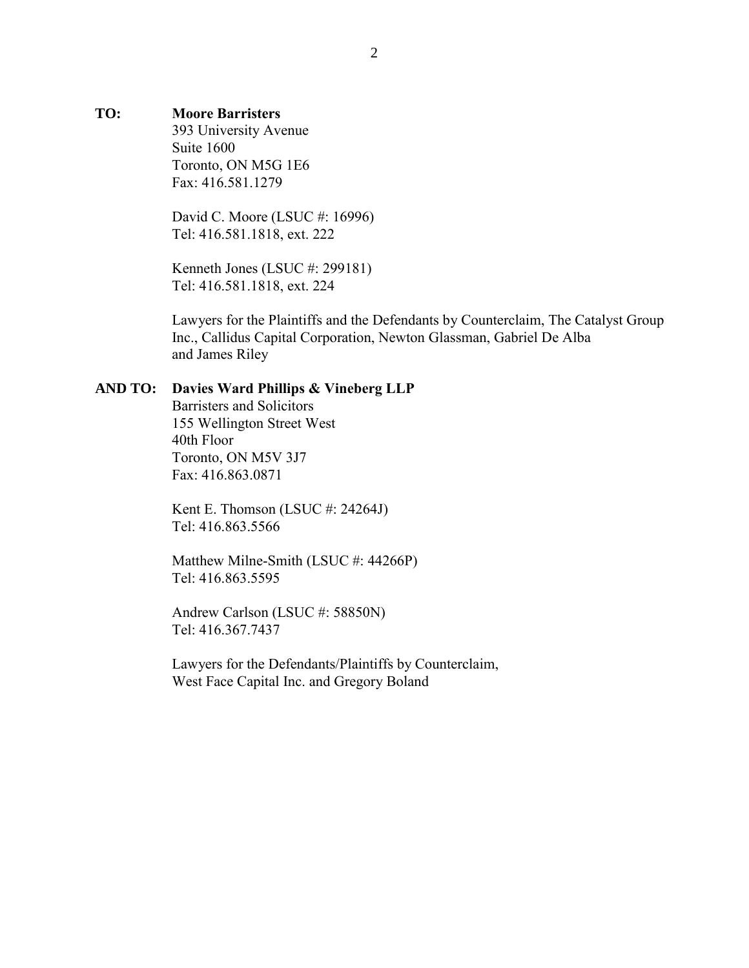#### **TO: Moore Barristers**

393 University Avenue Suite 1600 Toronto, ON M5G 1E6 Fax: 416.581.1279

David C. Moore (LSUC #: 16996) Tel: 416.581.1818, ext. 222

Kenneth Jones (LSUC #: 299181) Tel: 416.581.1818, ext. 224

Lawyers for the Plaintiffs and the Defendants by Counterclaim, The Catalyst Group Inc., Callidus Capital Corporation, Newton Glassman, Gabriel De Alba and James Riley

#### **AND TO: Davies Ward Phillips & Vineberg LLP**

Barristers and Solicitors 155 Wellington Street West 40th Floor Toronto, ON M5V 3J7 Fax: 416.863.0871

Kent E. Thomson (LSUC #: 24264J) Tel: 416.863.5566

Matthew Milne-Smith (LSUC #: 44266P) Tel: 416.863.5595

Andrew Carlson (LSUC #: 58850N) Tel: 416.367.7437

Lawyers for the Defendants/Plaintiffs by Counterclaim, West Face Capital Inc. and Gregory Boland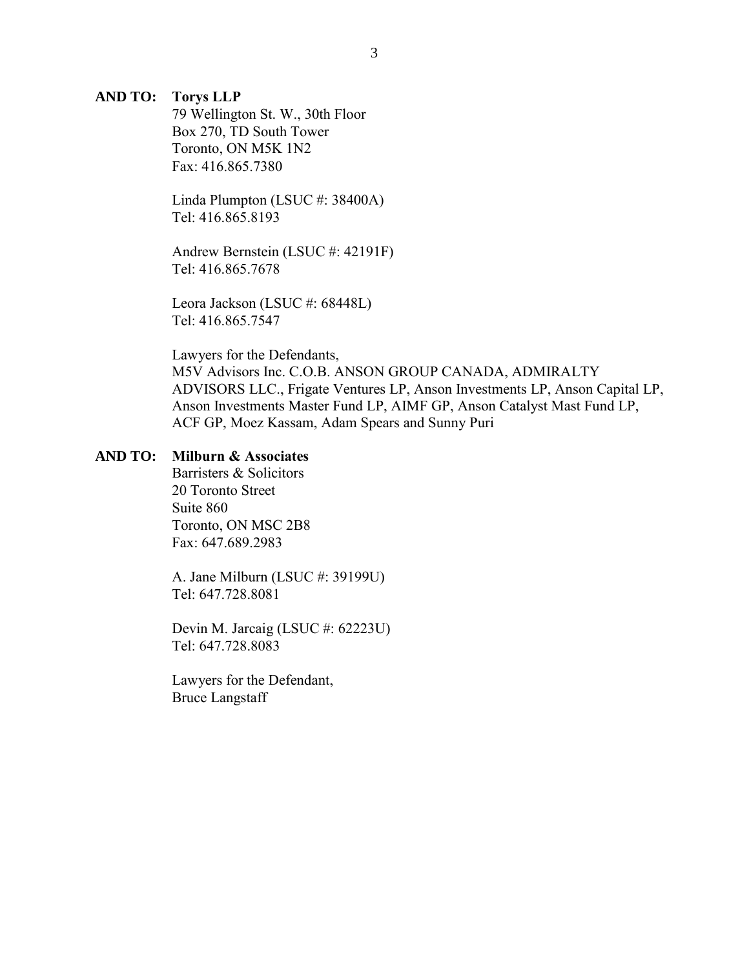#### **AND TO: Torys LLP**

79 Wellington St. W., 30th Floor Box 270, TD South Tower Toronto, ON M5K 1N2 Fax: 416.865.7380

Linda Plumpton (LSUC #: 38400A) Tel: 416.865.8193

Andrew Bernstein (LSUC #: 42191F) Tel: 416.865.7678

Leora Jackson (LSUC #: 68448L) Tel: 416.865.7547

Lawyers for the Defendants, M5V Advisors Inc. C.O.B. ANSON GROUP CANADA, ADMIRALTY ADVISORS LLC., Frigate Ventures LP, Anson Investments LP, Anson Capital LP, Anson Investments Master Fund LP, AIMF GP, Anson Catalyst Mast Fund LP, ACF GP, Moez Kassam, Adam Spears and Sunny Puri

#### **AND TO: Milburn & Associates**

Barristers & Solicitors 20 Toronto Street Suite 860 Toronto, ON MSC 2B8 Fax: 647.689.2983

A. Jane Milburn (LSUC #: 39199U) Tel: 647.728.8081

Devin M. Jarcaig (LSUC #: 62223U) Tel: 647.728.8083

Lawyers for the Defendant, Bruce Langstaff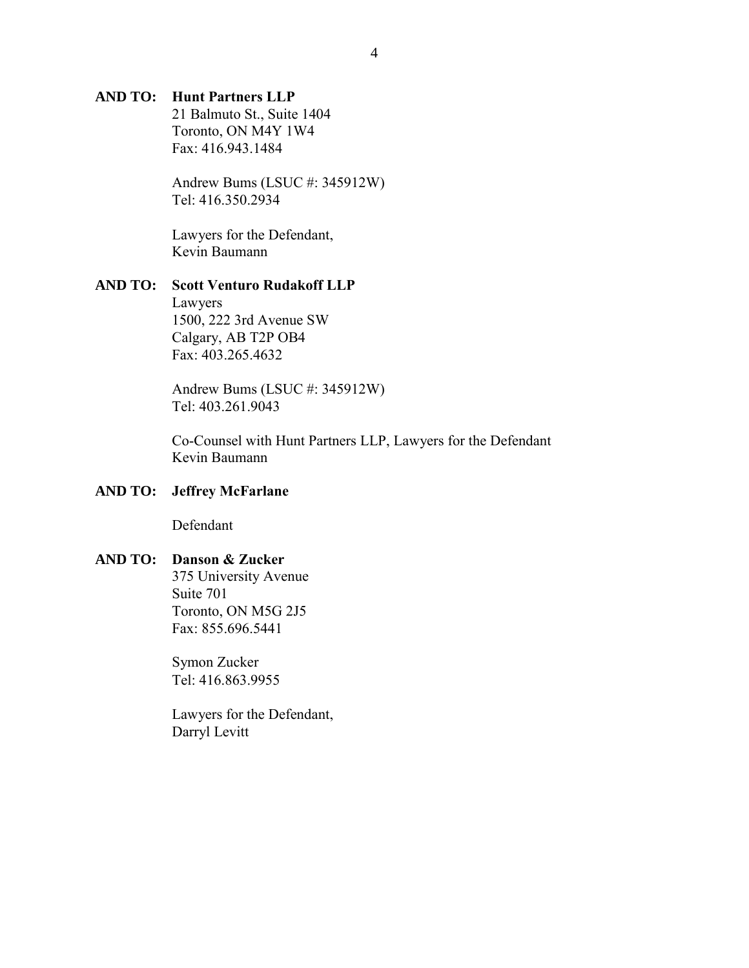### **AND TO: Hunt Partners LLP**

21 Balmuto St., Suite 1404 Toronto, ON M4Y 1W4 Fax: 416.943.1484

Andrew Bums (LSUC #: 345912W) Tel: 416.350.2934

Lawyers for the Defendant, Kevin Baumann

#### **AND TO: Scott Venturo Rudakoff LLP**

Lawyers 1500, 222 3rd Avenue SW Calgary, AB T2P OB4 Fax: 403.265.4632

Andrew Bums (LSUC #: 345912W) Tel: 403.261.9043

Co-Counsel with Hunt Partners LLP, Lawyers for the Defendant Kevin Baumann

### **AND TO: Jeffrey McFarlane**

Defendant

#### **AND TO: Danson & Zucker**

375 University Avenue Suite 701 Toronto, ON M5G 2J5 Fax: 855.696.5441

Symon Zucker Tel: 416.863.9955

Lawyers for the Defendant, Darryl Levitt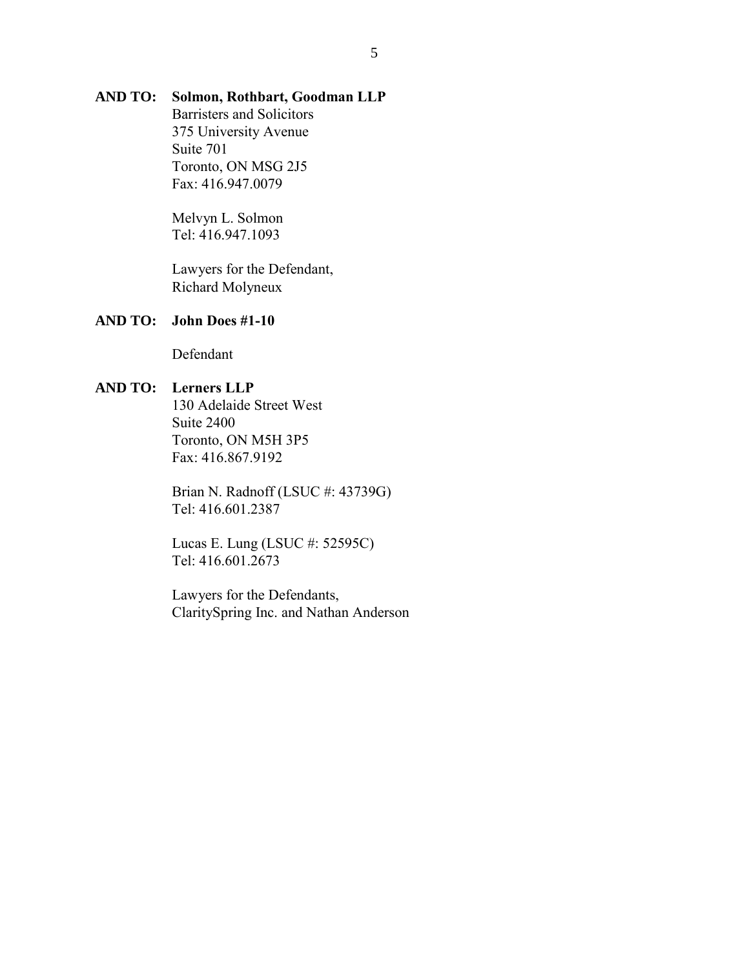## **AND TO: Solmon, Rothbart, Goodman LLP**

Barristers and Solicitors 375 University Avenue Suite 701 Toronto, ON MSG 2J5 Fax: 416.947.0079

Melvyn L. Solmon Tel: 416.947.1093

Lawyers for the Defendant, Richard Molyneux

#### **AND TO: John Does #1-10**

Defendant

## **AND TO: Lerners LLP**

130 Adelaide Street West Suite 2400 Toronto, ON M5H 3P5 Fax: 416.867.9192

Brian N. Radnoff (LSUC #: 43739G) Tel: 416.601.2387

Lucas E. Lung (LSUC #: 52595C) Tel: 416.601.2673

Lawyers for the Defendants, ClaritySpring Inc. and Nathan Anderson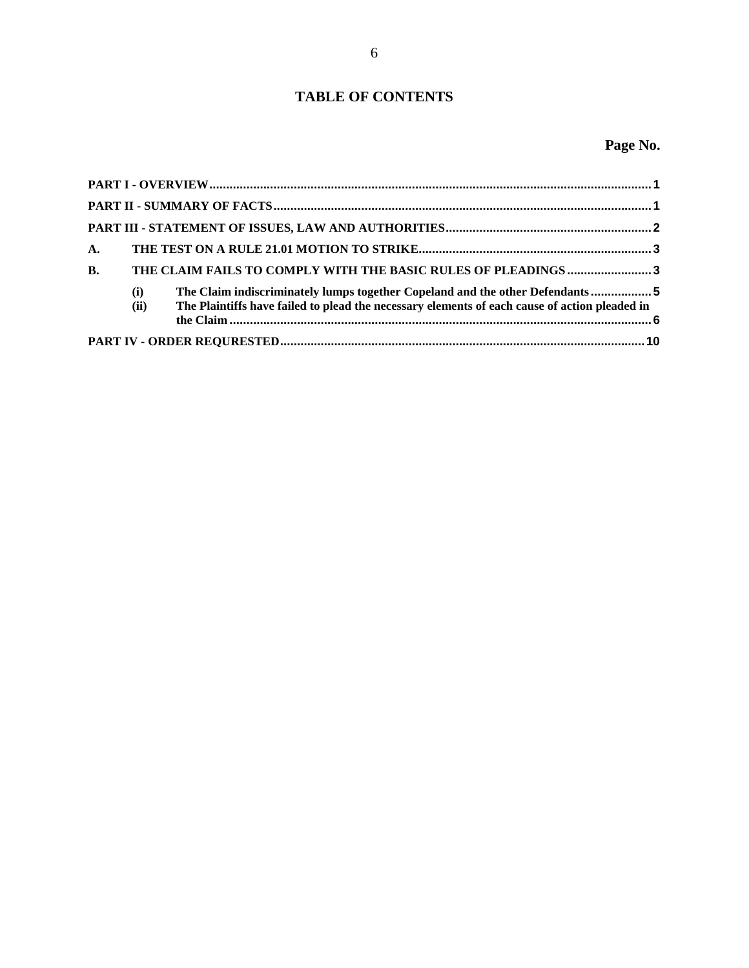## **TABLE OF CONTENTS**

| $\mathbf{A}$ . |             |                                                                                                                                                                               |  |
|----------------|-------------|-------------------------------------------------------------------------------------------------------------------------------------------------------------------------------|--|
| $\mathbf{B}$ . |             | THE CLAIM FAILS TO COMPLY WITH THE BASIC RULES OF PLEADINGS  3                                                                                                                |  |
|                | (i)<br>(ii) | The Claim indiscriminately lumps together Copeland and the other Defendants5<br>The Plaintiffs have failed to plead the necessary elements of each cause of action pleaded in |  |
|                |             |                                                                                                                                                                               |  |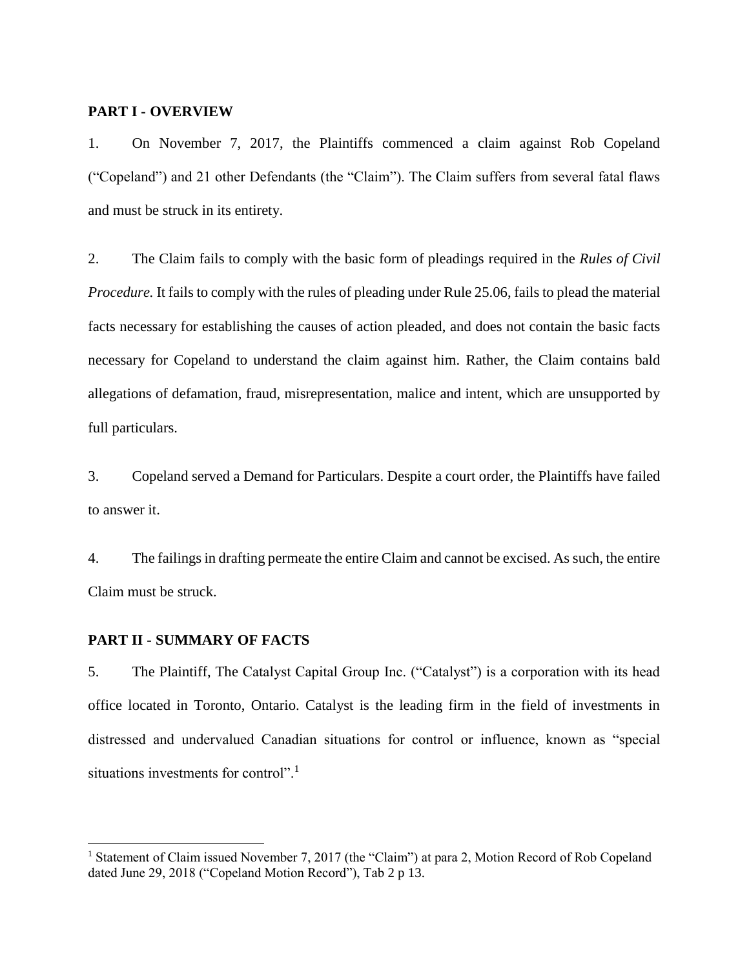#### <span id="page-6-0"></span>**PART I - OVERVIEW**

1. On November 7, 2017, the Plaintiffs commenced a claim against Rob Copeland ("Copeland") and 21 other Defendants (the "Claim"). The Claim suffers from several fatal flaws and must be struck in its entirety.

2. The Claim fails to comply with the basic form of pleadings required in the *Rules of Civil Procedure.* It fails to comply with the rules of pleading under Rule 25.06, fails to plead the material facts necessary for establishing the causes of action pleaded, and does not contain the basic facts necessary for Copeland to understand the claim against him. Rather, the Claim contains bald allegations of defamation, fraud, misrepresentation, malice and intent, which are unsupported by full particulars.

3. Copeland served a Demand for Particulars. Despite a court order, the Plaintiffs have failed to answer it.

4. The failings in drafting permeate the entire Claim and cannot be excised. As such, the entire Claim must be struck.

### <span id="page-6-1"></span>**PART II - SUMMARY OF FACTS**

l

5. The Plaintiff, The Catalyst Capital Group Inc. ("Catalyst") is a corporation with its head office located in Toronto, Ontario. Catalyst is the leading firm in the field of investments in distressed and undervalued Canadian situations for control or influence, known as "special situations investments for control".<sup>1</sup>

<sup>&</sup>lt;sup>1</sup> Statement of Claim issued November 7, 2017 (the "Claim") at para 2, Motion Record of Rob Copeland dated June 29, 2018 ("Copeland Motion Record"), Tab 2 p 13.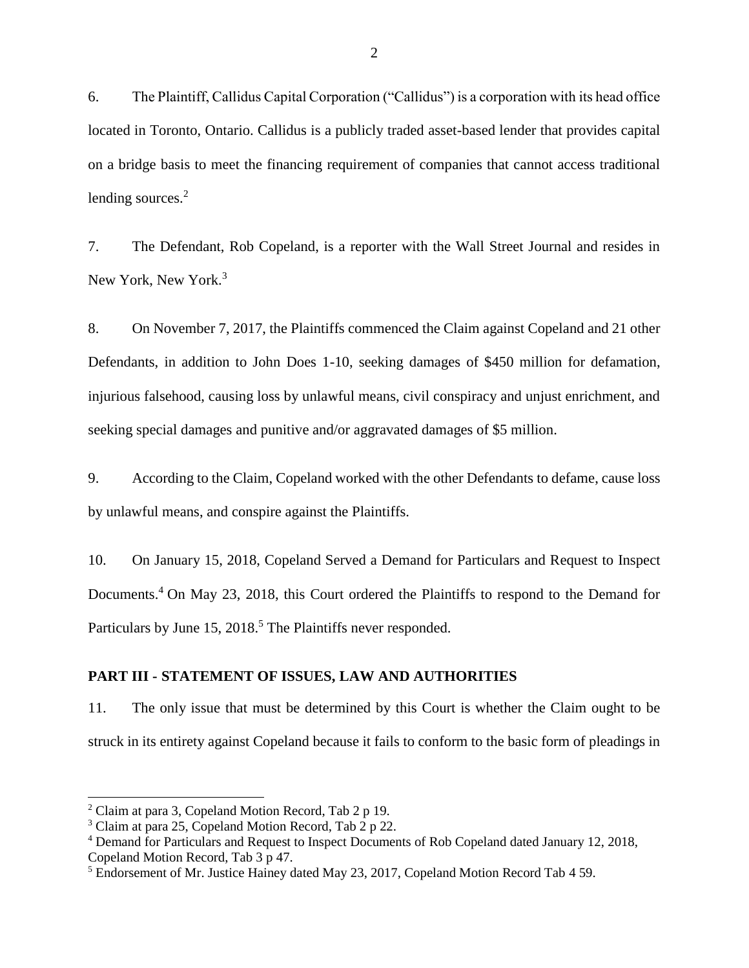6. The Plaintiff, Callidus Capital Corporation ("Callidus") is a corporation with its head office located in Toronto, Ontario. Callidus is a publicly traded asset-based lender that provides capital on a bridge basis to meet the financing requirement of companies that cannot access traditional lending sources.<sup>2</sup>

7. The Defendant, Rob Copeland, is a reporter with the Wall Street Journal and resides in New York, New York.<sup>3</sup>

8. On November 7, 2017, the Plaintiffs commenced the Claim against Copeland and 21 other Defendants, in addition to John Does 1-10, seeking damages of \$450 million for defamation, injurious falsehood, causing loss by unlawful means, civil conspiracy and unjust enrichment, and seeking special damages and punitive and/or aggravated damages of \$5 million.

9. According to the Claim, Copeland worked with the other Defendants to defame, cause loss by unlawful means, and conspire against the Plaintiffs.

10. On January 15, 2018, Copeland Served a Demand for Particulars and Request to Inspect Documents.<sup>4</sup> On May 23, 2018, this Court ordered the Plaintiffs to respond to the Demand for Particulars by June 15, 2018.<sup>5</sup> The Plaintiffs never responded.

#### <span id="page-7-0"></span>**PART III - STATEMENT OF ISSUES, LAW AND AUTHORITIES**

11. The only issue that must be determined by this Court is whether the Claim ought to be struck in its entirety against Copeland because it fails to conform to the basic form of pleadings in

<sup>2</sup> Claim at para 3, Copeland Motion Record, Tab 2 p 19.

<sup>3</sup> Claim at para 25, Copeland Motion Record, Tab 2 p 22.

<sup>4</sup> Demand for Particulars and Request to Inspect Documents of Rob Copeland dated January 12, 2018, Copeland Motion Record, Tab 3 p 47.

<sup>5</sup> Endorsement of Mr. Justice Hainey dated May 23, 2017, Copeland Motion Record Tab 4 59.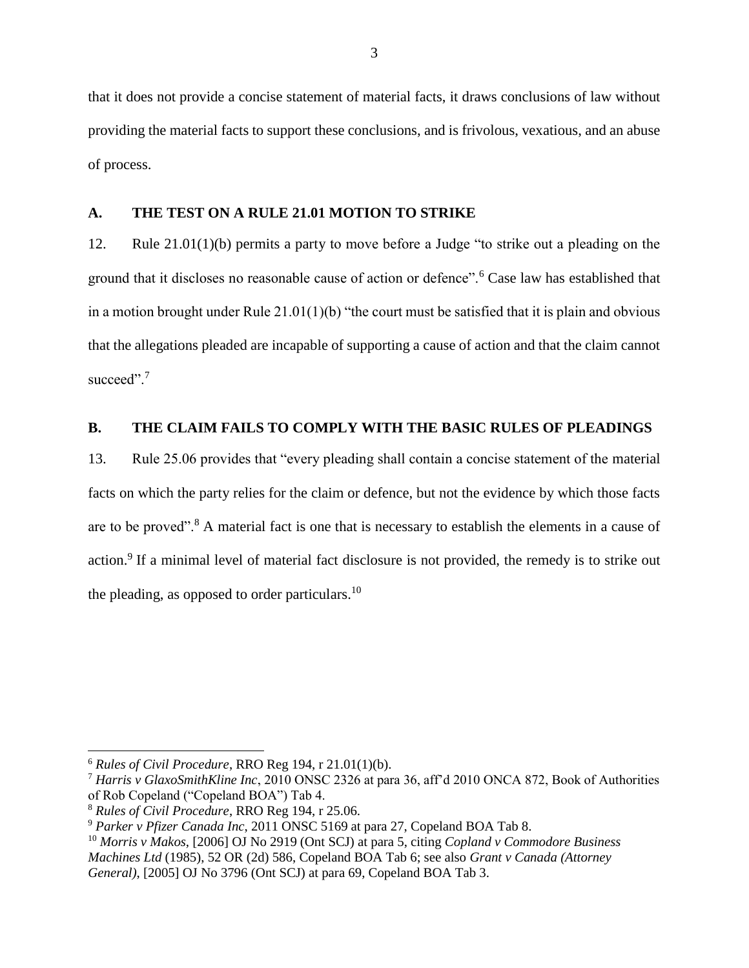that it does not provide a concise statement of material facts, it draws conclusions of law without providing the material facts to support these conclusions, and is frivolous, vexatious, and an abuse of process.

#### <span id="page-8-0"></span>**A. THE TEST ON A RULE 21.01 MOTION TO STRIKE**

12. Rule 21.01(1)(b) permits a party to move before a Judge "to strike out a pleading on the ground that it discloses no reasonable cause of action or defence".<sup>6</sup> Case law has established that in a motion brought under Rule 21.01(1)(b) "the court must be satisfied that it is plain and obvious that the allegations pleaded are incapable of supporting a cause of action and that the claim cannot succeed".<sup>7</sup>

### <span id="page-8-1"></span>**B. THE CLAIM FAILS TO COMPLY WITH THE BASIC RULES OF PLEADINGS**

13. Rule 25.06 provides that "every pleading shall contain a concise statement of the material facts on which the party relies for the claim or defence, but not the evidence by which those facts are to be proved".<sup>8</sup> A material fact is one that is necessary to establish the elements in a cause of action.<sup>9</sup> If a minimal level of material fact disclosure is not provided, the remedy is to strike out the pleading, as opposed to order particulars.<sup>10</sup>

<sup>6</sup> *Rules of Civil Procedure*, RRO Reg 194, r 21.01(1)(b).

<sup>7</sup> *Harris v GlaxoSmithKline Inc*, 2010 ONSC 2326 at para 36, aff'd 2010 ONCA 872, Book of Authorities of Rob Copeland ("Copeland BOA") Tab 4.

<sup>8</sup> *Rules of Civil Procedure*, RRO Reg 194, r 25.06.

<sup>9</sup> *Parker v Pfizer Canada Inc*, 2011 ONSC 5169 at para 27, Copeland BOA Tab 8.

<sup>10</sup> *Morris v Makos*, [2006] OJ No 2919 (Ont SCJ) at para 5, citing *Copland v Commodore Business Machines Ltd* (1985), 52 OR (2d) 586, Copeland BOA Tab 6; see also *Grant v Canada (Attorney General)*, [2005] OJ No 3796 (Ont SCJ) at para 69, Copeland BOA Tab 3.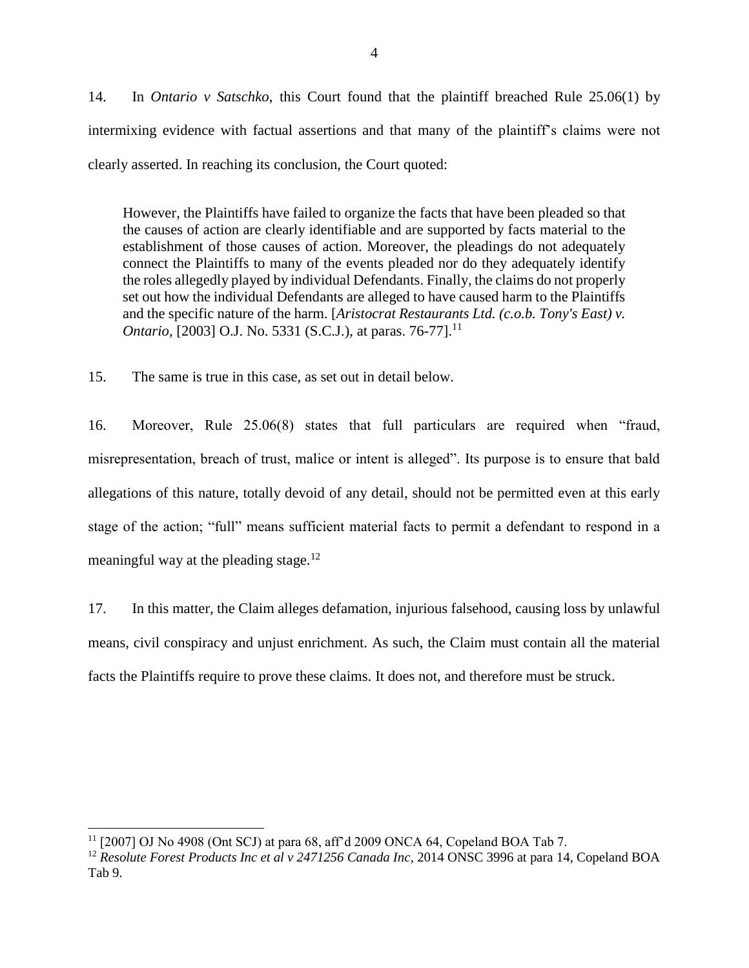14. In *Ontario v Satschko*, this Court found that the plaintiff breached Rule 25.06(1) by intermixing evidence with factual assertions and that many of the plaintiff's claims were not clearly asserted. In reaching its conclusion, the Court quoted:

However, the Plaintiffs have failed to organize the facts that have been pleaded so that the causes of action are clearly identifiable and are supported by facts material to the establishment of those causes of action. Moreover, the pleadings do not adequately connect the Plaintiffs to many of the events pleaded nor do they adequately identify the roles allegedly played by individual Defendants. Finally, the claims do not properly set out how the individual Defendants are alleged to have caused harm to the Plaintiffs and the specific nature of the harm. [*Aristocrat Restaurants Ltd. (c.o.b. Tony's East) v. Ontario*, [2003] O.J. No. 5331 (S.C.J.), at paras. 76-77].<sup>11</sup>

15. The same is true in this case, as set out in detail below.

16. Moreover, Rule 25.06(8) states that full particulars are required when "fraud, misrepresentation, breach of trust, malice or intent is alleged". Its purpose is to ensure that bald allegations of this nature, totally devoid of any detail, should not be permitted even at this early stage of the action; "full" means sufficient material facts to permit a defendant to respond in a meaningful way at the pleading stage.<sup>12</sup>

17. In this matter, the Claim alleges defamation, injurious falsehood, causing loss by unlawful means, civil conspiracy and unjust enrichment. As such, the Claim must contain all the material facts the Plaintiffs require to prove these claims. It does not, and therefore must be struck.

<sup>11</sup> [2007] OJ No 4908 (Ont SCJ) at para 68, aff'd 2009 ONCA 64, Copeland BOA Tab 7.

<sup>&</sup>lt;sup>12</sup> *Resolute Forest Products Inc et al v 2471256 Canada Inc*, 2014 ONSC 3996 at para 14, Copeland BOA Tab 9.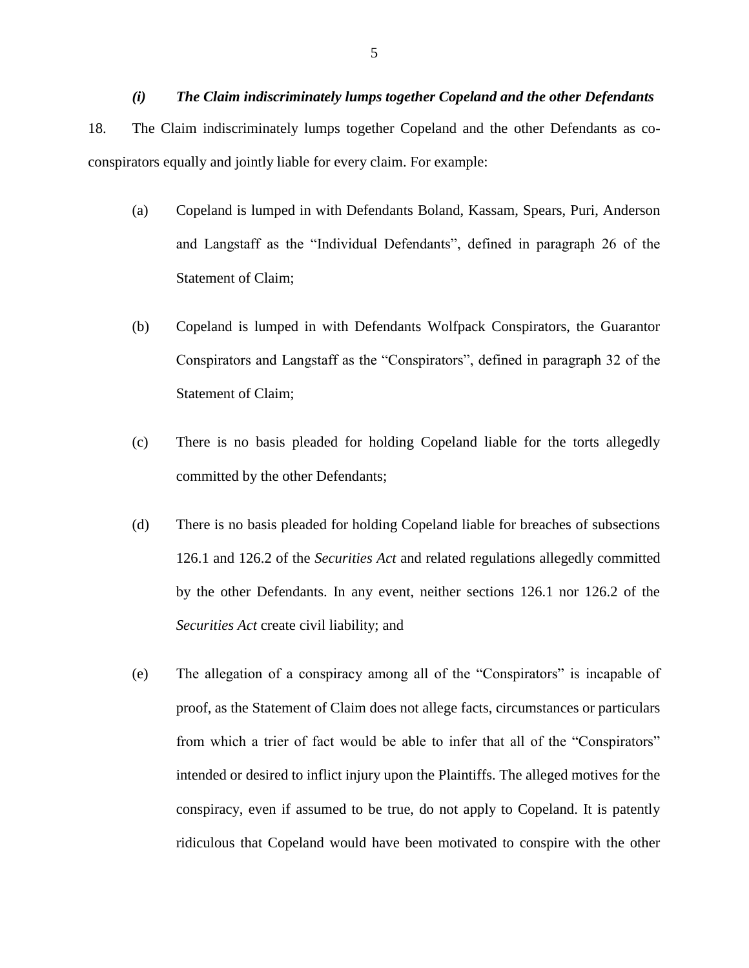<span id="page-10-0"></span>*(i) The Claim indiscriminately lumps together Copeland and the other Defendants* 18. The Claim indiscriminately lumps together Copeland and the other Defendants as coconspirators equally and jointly liable for every claim. For example:

- (a) Copeland is lumped in with Defendants Boland, Kassam, Spears, Puri, Anderson and Langstaff as the "Individual Defendants", defined in paragraph 26 of the Statement of Claim;
- (b) Copeland is lumped in with Defendants Wolfpack Conspirators, the Guarantor Conspirators and Langstaff as the "Conspirators", defined in paragraph 32 of the Statement of Claim;
- (c) There is no basis pleaded for holding Copeland liable for the torts allegedly committed by the other Defendants;
- (d) There is no basis pleaded for holding Copeland liable for breaches of subsections 126.1 and 126.2 of the *Securities Act* and related regulations allegedly committed by the other Defendants. In any event, neither sections 126.1 nor 126.2 of the *Securities Act* create civil liability; and
- (e) The allegation of a conspiracy among all of the "Conspirators" is incapable of proof, as the Statement of Claim does not allege facts, circumstances or particulars from which a trier of fact would be able to infer that all of the "Conspirators" intended or desired to inflict injury upon the Plaintiffs. The alleged motives for the conspiracy, even if assumed to be true, do not apply to Copeland. It is patently ridiculous that Copeland would have been motivated to conspire with the other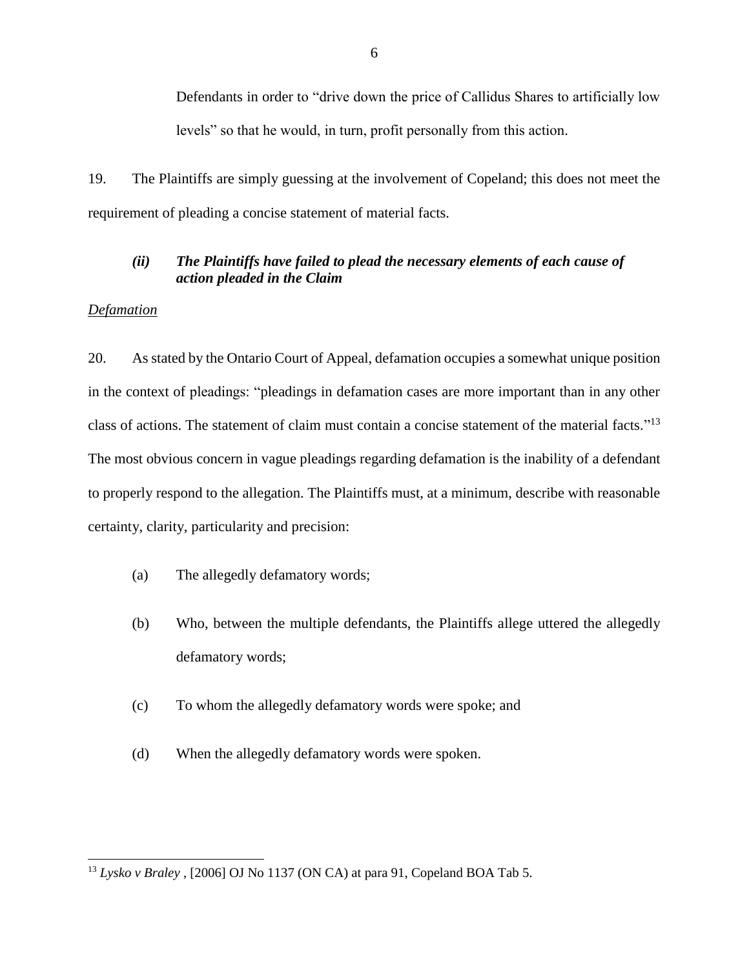Defendants in order to "drive down the price of Callidus Shares to artificially low levels" so that he would, in turn, profit personally from this action.

19. The Plaintiffs are simply guessing at the involvement of Copeland; this does not meet the requirement of pleading a concise statement of material facts.

## <span id="page-11-0"></span>*(ii) The Plaintiffs have failed to plead the necessary elements of each cause of action pleaded in the Claim*

### *Defamation*

l

20. As stated by the Ontario Court of Appeal, defamation occupies a somewhat unique position in the context of pleadings: "pleadings in defamation cases are more important than in any other class of actions. The statement of claim must contain a concise statement of the material facts."<sup>13</sup> The most obvious concern in vague pleadings regarding defamation is the inability of a defendant to properly respond to the allegation. The Plaintiffs must, at a minimum, describe with reasonable certainty, clarity, particularity and precision:

- (a) The allegedly defamatory words;
- (b) Who, between the multiple defendants, the Plaintiffs allege uttered the allegedly defamatory words;
- (c) To whom the allegedly defamatory words were spoke; and
- (d) When the allegedly defamatory words were spoken.

<sup>13</sup> *Lysko v Braley* , [2006] OJ No 1137 (ON CA) at para 91, Copeland BOA Tab 5.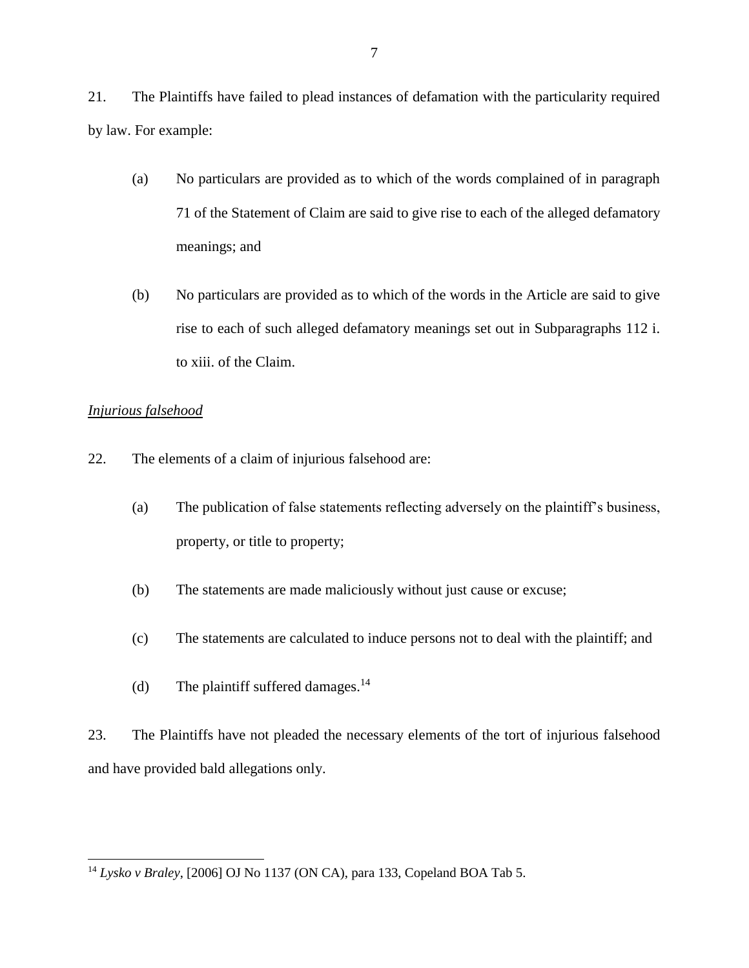21. The Plaintiffs have failed to plead instances of defamation with the particularity required by law. For example:

- (a) No particulars are provided as to which of the words complained of in paragraph 71 of the Statement of Claim are said to give rise to each of the alleged defamatory meanings; and
- (b) No particulars are provided as to which of the words in the Article are said to give rise to each of such alleged defamatory meanings set out in Subparagraphs 112 i. to xiii. of the Claim.

## *Injurious falsehood*

l

- 22. The elements of a claim of injurious falsehood are:
	- (a) The publication of false statements reflecting adversely on the plaintiff's business, property, or title to property;
	- (b) The statements are made maliciously without just cause or excuse;
	- (c) The statements are calculated to induce persons not to deal with the plaintiff; and
	- (d) The plaintiff suffered damages.<sup>14</sup>

23. The Plaintiffs have not pleaded the necessary elements of the tort of injurious falsehood and have provided bald allegations only.

<sup>14</sup> *Lysko v Braley*, [2006] OJ No 1137 (ON CA), para 133, Copeland BOA Tab 5.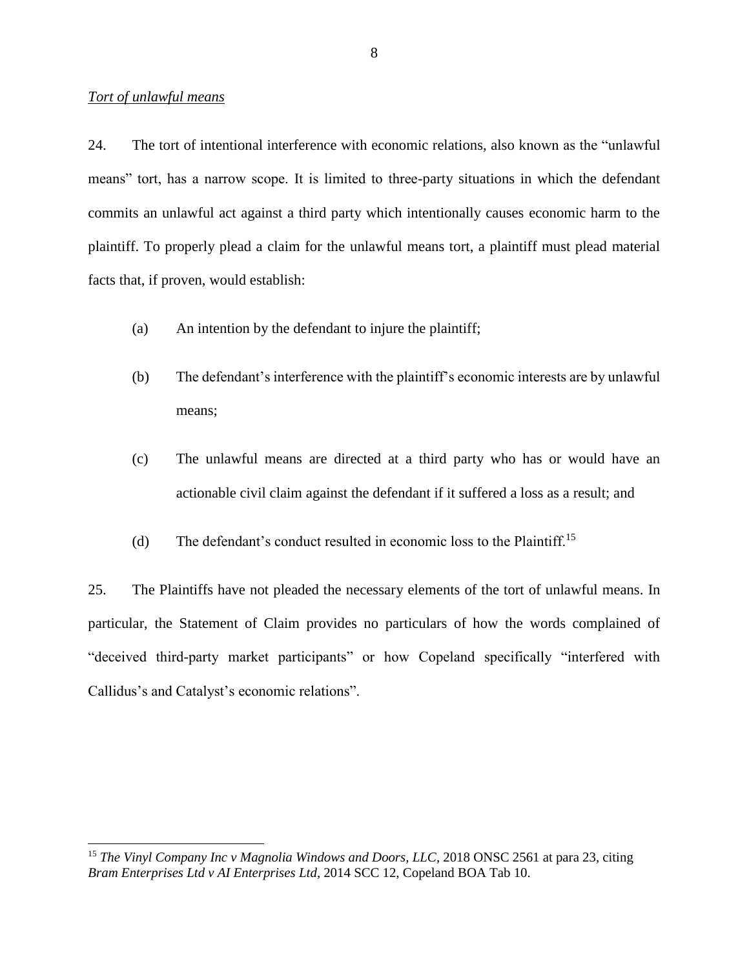#### *Tort of unlawful means*

l

24. The tort of intentional interference with economic relations, also known as the "unlawful means" tort, has a narrow scope. It is limited to three-party situations in which the defendant commits an unlawful act against a third party which intentionally causes economic harm to the plaintiff. To properly plead a claim for the unlawful means tort, a plaintiff must plead material facts that, if proven, would establish:

- (a) An intention by the defendant to injure the plaintiff;
- (b) The defendant's interference with the plaintiff's economic interests are by unlawful means;
- (c) The unlawful means are directed at a third party who has or would have an actionable civil claim against the defendant if it suffered a loss as a result; and
- (d) The defendant's conduct resulted in economic loss to the Plaintiff.<sup>15</sup>

25. The Plaintiffs have not pleaded the necessary elements of the tort of unlawful means. In particular, the Statement of Claim provides no particulars of how the words complained of "deceived third-party market participants" or how Copeland specifically "interfered with Callidus's and Catalyst's economic relations".

<sup>&</sup>lt;sup>15</sup> *The Vinyl Company Inc v Magnolia Windows and Doors, LLC*, 2018 ONSC 2561 at para 23, citing *Bram Enterprises Ltd v AI Enterprises Ltd*, 2014 SCC 12, Copeland BOA Tab 10.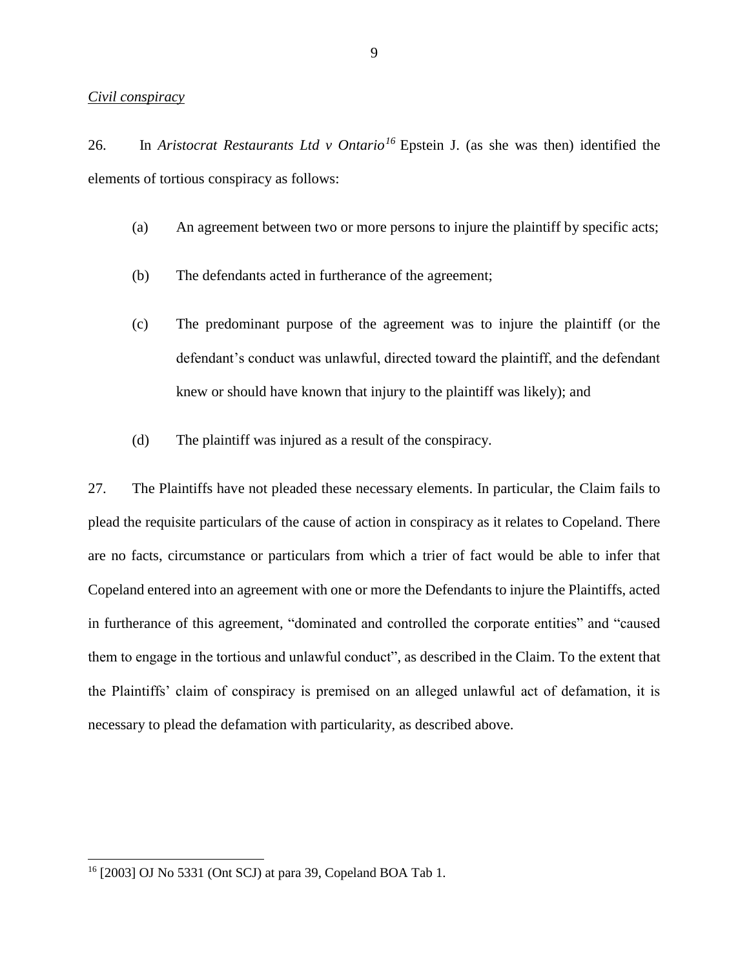#### *Civil conspiracy*

26. In *Aristocrat Restaurants Ltd v Ontario<sup>16</sup>* Epstein J. (as she was then) identified the elements of tortious conspiracy as follows:

- (a) An agreement between two or more persons to injure the plaintiff by specific acts;
- (b) The defendants acted in furtherance of the agreement;
- (c) The predominant purpose of the agreement was to injure the plaintiff (or the defendant's conduct was unlawful, directed toward the plaintiff, and the defendant knew or should have known that injury to the plaintiff was likely); and
- (d) The plaintiff was injured as a result of the conspiracy.

27. The Plaintiffs have not pleaded these necessary elements. In particular, the Claim fails to plead the requisite particulars of the cause of action in conspiracy as it relates to Copeland. There are no facts, circumstance or particulars from which a trier of fact would be able to infer that Copeland entered into an agreement with one or more the Defendants to injure the Plaintiffs, acted in furtherance of this agreement, "dominated and controlled the corporate entities" and "caused them to engage in the tortious and unlawful conduct", as described in the Claim. To the extent that the Plaintiffs' claim of conspiracy is premised on an alleged unlawful act of defamation, it is necessary to plead the defamation with particularity, as described above.

<sup>16</sup> [2003] OJ No 5331 (Ont SCJ) at para 39, Copeland BOA Tab 1.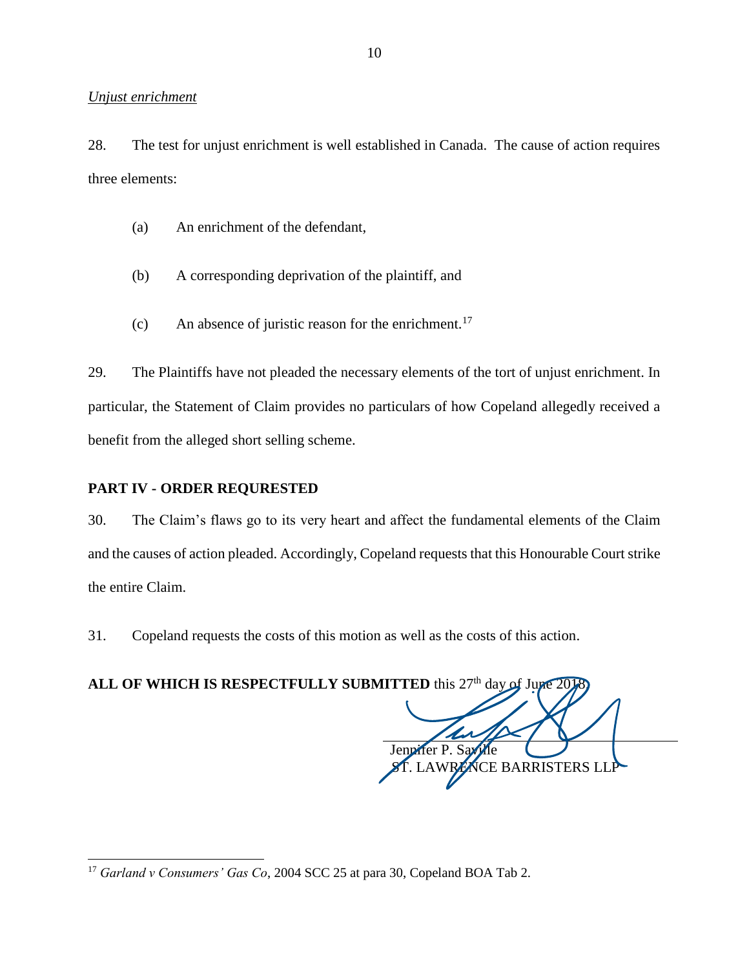#### *Unjust enrichment*

28. The test for unjust enrichment is well established in Canada. The cause of action requires three elements:

- (a) An enrichment of the defendant,
- (b) A corresponding deprivation of the plaintiff, and
- (c) An absence of juristic reason for the enrichment.<sup>17</sup>

29. The Plaintiffs have not pleaded the necessary elements of the tort of unjust enrichment. In particular, the Statement of Claim provides no particulars of how Copeland allegedly received a benefit from the alleged short selling scheme.

## <span id="page-15-0"></span>**PART IV - ORDER REQURESTED**

l

30. The Claim's flaws go to its very heart and affect the fundamental elements of the Claim and the causes of action pleaded. Accordingly, Copeland requests that this Honourable Court strike the entire Claim.

31. Copeland requests the costs of this motion as well as the costs of this action.

ALL OF WHICH IS RESPECTFULLY SUBMITTED this 27<sup>th</sup> day of June 2018. ffer P. Sax ICE BARRISTERS LLP

<sup>17</sup> *Garland v Consumers' Gas Co*, 2004 SCC 25 at para 30, Copeland BOA Tab 2.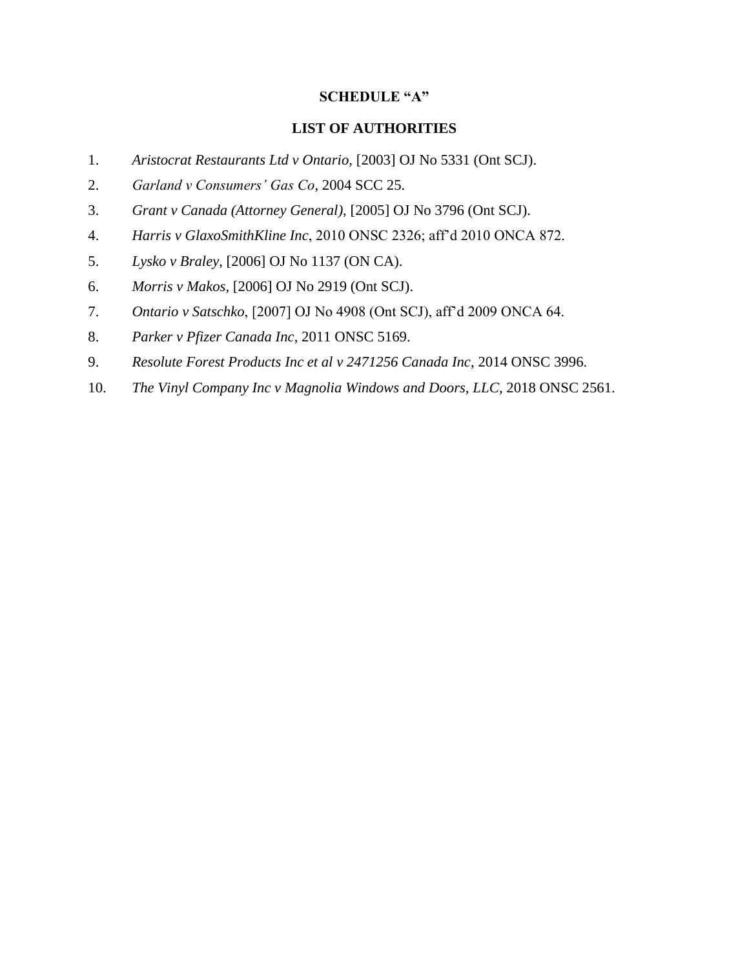#### **SCHEDULE "A"**

#### **LIST OF AUTHORITIES**

- 1. *Aristocrat Restaurants Ltd v Ontario,* [2003] OJ No 5331 (Ont SCJ).
- 2. *Garland v Consumers' Gas Co*, 2004 SCC 25.
- 3. *Grant v Canada (Attorney General)*, [2005] OJ No 3796 (Ont SCJ).
- 4. *Harris v GlaxoSmithKline Inc*, 2010 ONSC 2326; aff'd 2010 ONCA 872.
- 5. *Lysko v Braley*, [2006] OJ No 1137 (ON CA).
- 6. *Morris v Makos*, [2006] OJ No 2919 (Ont SCJ).
- 7. *Ontario v Satschko*, [2007] OJ No 4908 (Ont SCJ), aff'd 2009 ONCA 64.
- 8. *Parker v Pfizer Canada Inc*, 2011 ONSC 5169.
- 9. *Resolute Forest Products Inc et al v 2471256 Canada Inc*, 2014 ONSC 3996.
- 10. *The Vinyl Company Inc v Magnolia Windows and Doors, LLC*, 2018 ONSC 2561.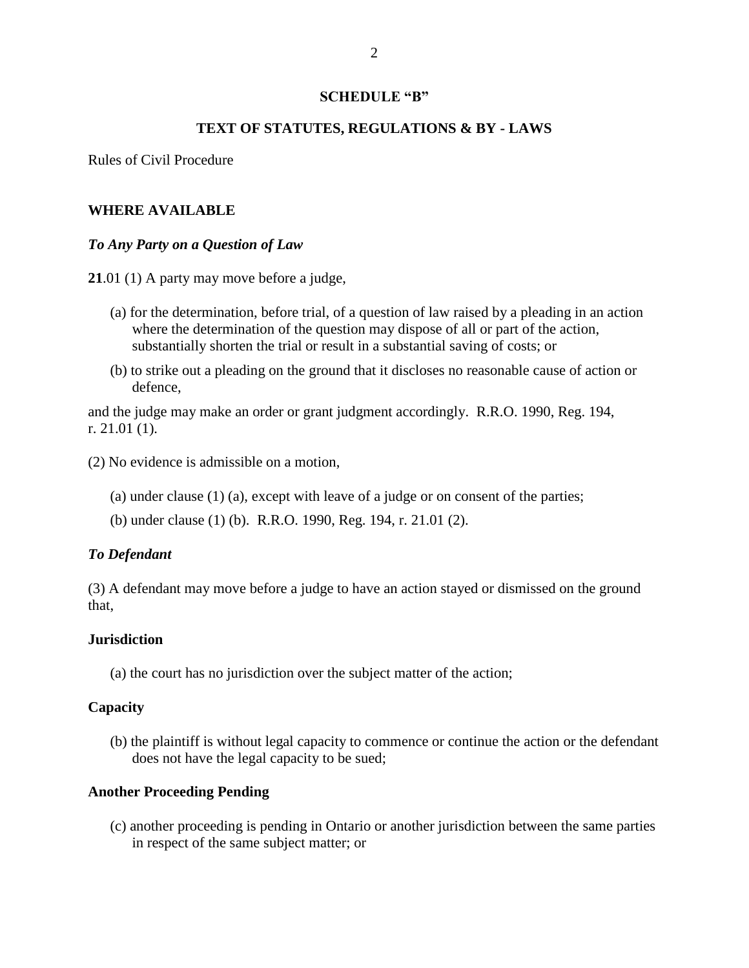#### **SCHEDULE "B"**

#### **TEXT OF STATUTES, REGULATIONS & BY - LAWS**

Rules of Civil Procedure

#### **WHERE AVAILABLE**

#### *To Any Party on a Question of Law*

**21**.01 (1) A party may move before a judge,

- (a) for the determination, before trial, of a question of law raised by a pleading in an action where the determination of the question may dispose of all or part of the action, substantially shorten the trial or result in a substantial saving of costs; or
- (b) to strike out a pleading on the ground that it discloses no reasonable cause of action or defence,

and the judge may make an order or grant judgment accordingly. R.R.O. 1990, Reg. 194, r. 21.01 (1).

(2) No evidence is admissible on a motion,

- (a) under clause (1) (a), except with leave of a judge or on consent of the parties;
- (b) under clause (1) (b). R.R.O. 1990, Reg. 194, r. 21.01 (2).

#### *To Defendant*

(3) A defendant may move before a judge to have an action stayed or dismissed on the ground that,

#### **Jurisdiction**

(a) the court has no jurisdiction over the subject matter of the action;

#### **Capacity**

(b) the plaintiff is without legal capacity to commence or continue the action or the defendant does not have the legal capacity to be sued;

#### **Another Proceeding Pending**

(c) another proceeding is pending in Ontario or another jurisdiction between the same parties in respect of the same subject matter; or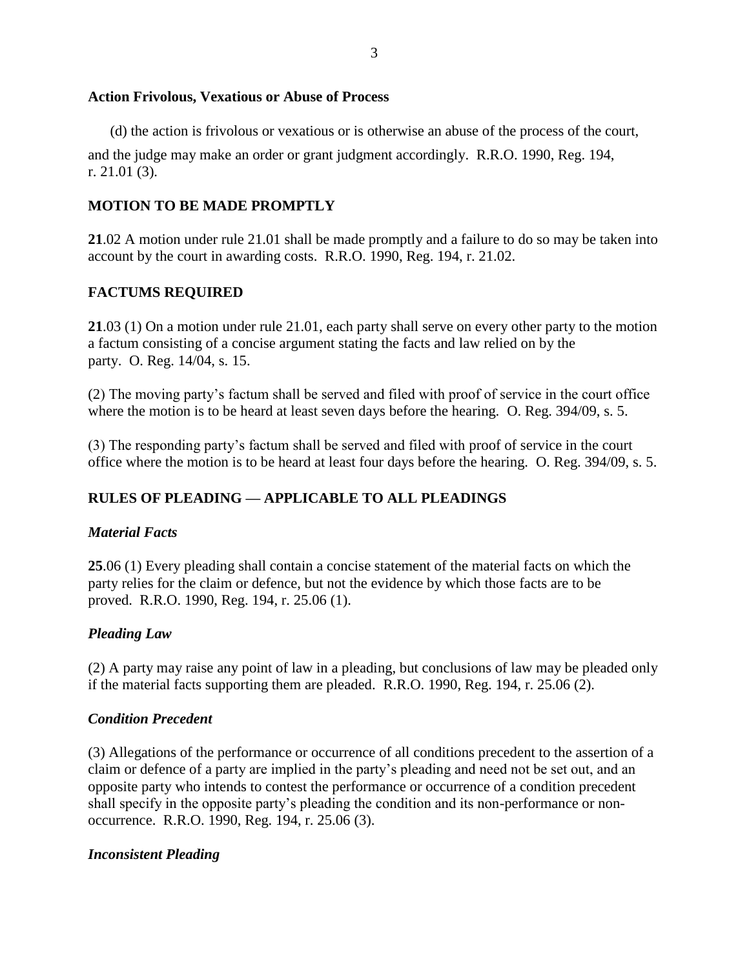## **Action Frivolous, Vexatious or Abuse of Process**

(d) the action is frivolous or vexatious or is otherwise an abuse of the process of the court,

and the judge may make an order or grant judgment accordingly. R.R.O. 1990, Reg. 194, r. 21.01 (3).

## **MOTION TO BE MADE PROMPTLY**

**21**.02 A motion under rule 21.01 shall be made promptly and a failure to do so may be taken into account by the court in awarding costs. R.R.O. 1990, Reg. 194, r. 21.02.

## **FACTUMS REQUIRED**

**21**.03 (1) On a motion under rule 21.01, each party shall serve on every other party to the motion a factum consisting of a concise argument stating the facts and law relied on by the party. O. Reg. 14/04, s. 15.

(2) The moving party's factum shall be served and filed with proof of service in the court office where the motion is to be heard at least seven days before the hearing. O. Reg. 394/09, s. 5.

(3) The responding party's factum shall be served and filed with proof of service in the court office where the motion is to be heard at least four days before the hearing. O. Reg. 394/09, s. 5.

## **RULES OF PLEADING — APPLICABLE TO ALL PLEADINGS**

## *Material Facts*

**25**.06 (1) Every pleading shall contain a concise statement of the material facts on which the party relies for the claim or defence, but not the evidence by which those facts are to be proved. R.R.O. 1990, Reg. 194, r. 25.06 (1).

## *Pleading Law*

(2) A party may raise any point of law in a pleading, but conclusions of law may be pleaded only if the material facts supporting them are pleaded. R.R.O. 1990, Reg. 194, r. 25.06 (2).

## *Condition Precedent*

(3) Allegations of the performance or occurrence of all conditions precedent to the assertion of a claim or defence of a party are implied in the party's pleading and need not be set out, and an opposite party who intends to contest the performance or occurrence of a condition precedent shall specify in the opposite party's pleading the condition and its non-performance or nonoccurrence. R.R.O. 1990, Reg. 194, r. 25.06 (3).

## *Inconsistent Pleading*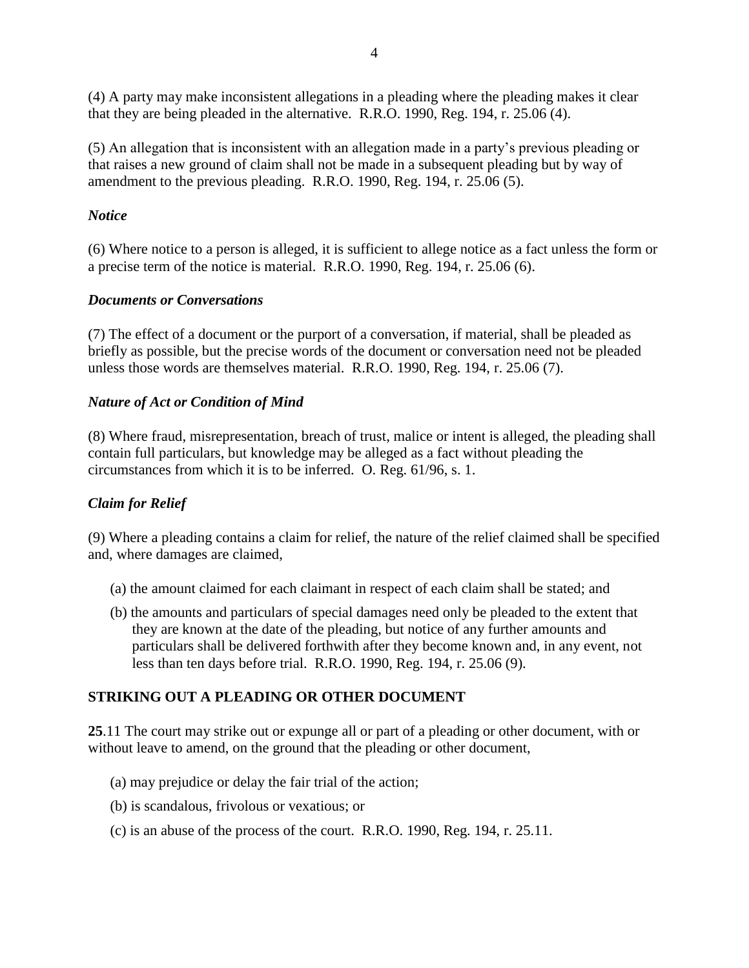(4) A party may make inconsistent allegations in a pleading where the pleading makes it clear that they are being pleaded in the alternative. R.R.O. 1990, Reg. 194, r. 25.06 (4).

(5) An allegation that is inconsistent with an allegation made in a party's previous pleading or that raises a new ground of claim shall not be made in a subsequent pleading but by way of amendment to the previous pleading. R.R.O. 1990, Reg. 194, r. 25.06 (5).

## *Notice*

(6) Where notice to a person is alleged, it is sufficient to allege notice as a fact unless the form or a precise term of the notice is material. R.R.O. 1990, Reg. 194, r. 25.06 (6).

## *Documents or Conversations*

(7) The effect of a document or the purport of a conversation, if material, shall be pleaded as briefly as possible, but the precise words of the document or conversation need not be pleaded unless those words are themselves material. R.R.O. 1990, Reg. 194, r. 25.06 (7).

## *Nature of Act or Condition of Mind*

(8) Where fraud, misrepresentation, breach of trust, malice or intent is alleged, the pleading shall contain full particulars, but knowledge may be alleged as a fact without pleading the circumstances from which it is to be inferred. O. Reg. 61/96, s. 1.

## *Claim for Relief*

(9) Where a pleading contains a claim for relief, the nature of the relief claimed shall be specified and, where damages are claimed,

- (a) the amount claimed for each claimant in respect of each claim shall be stated; and
- (b) the amounts and particulars of special damages need only be pleaded to the extent that they are known at the date of the pleading, but notice of any further amounts and particulars shall be delivered forthwith after they become known and, in any event, not less than ten days before trial. R.R.O. 1990, Reg. 194, r. 25.06 (9).

## **STRIKING OUT A PLEADING OR OTHER DOCUMENT**

**25**.11 The court may strike out or expunge all or part of a pleading or other document, with or without leave to amend, on the ground that the pleading or other document,

- (a) may prejudice or delay the fair trial of the action;
- (b) is scandalous, frivolous or vexatious; or
- (c) is an abuse of the process of the court. R.R.O. 1990, Reg. 194, r. 25.11.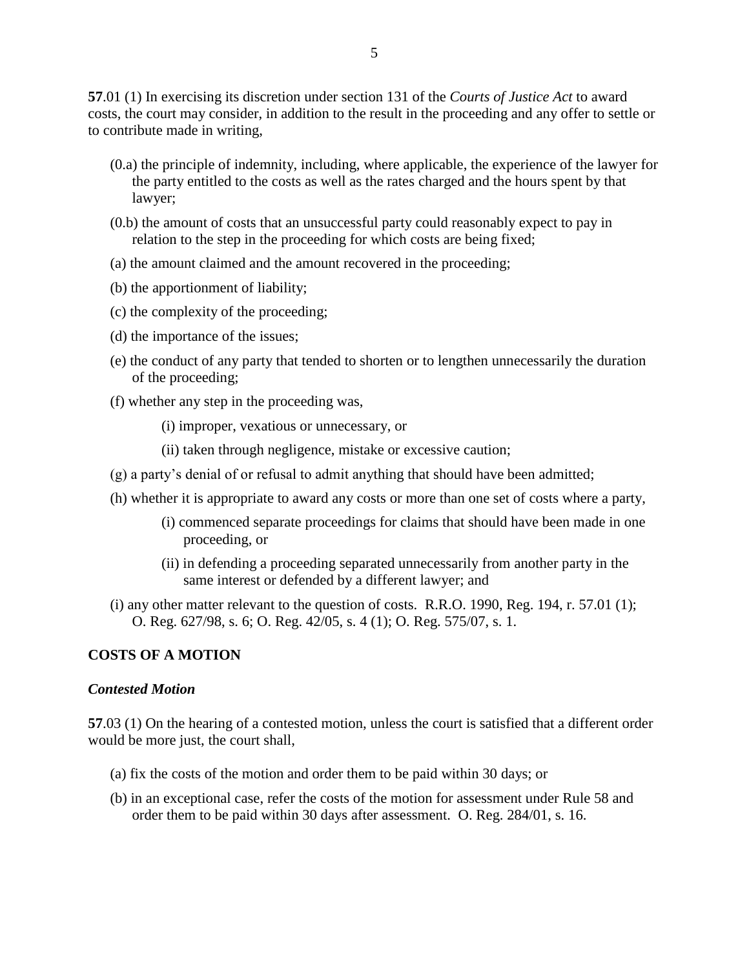**57**.01 (1) In exercising its discretion under section 131 of the *Courts of Justice Act* to award costs, the court may consider, in addition to the result in the proceeding and any offer to settle or to contribute made in writing,

- (0.a) the principle of indemnity, including, where applicable, the experience of the lawyer for the party entitled to the costs as well as the rates charged and the hours spent by that lawyer;
- (0.b) the amount of costs that an unsuccessful party could reasonably expect to pay in relation to the step in the proceeding for which costs are being fixed;
- (a) the amount claimed and the amount recovered in the proceeding;
- (b) the apportionment of liability;
- (c) the complexity of the proceeding;
- (d) the importance of the issues;
- (e) the conduct of any party that tended to shorten or to lengthen unnecessarily the duration of the proceeding;
- (f) whether any step in the proceeding was,
	- (i) improper, vexatious or unnecessary, or
	- (ii) taken through negligence, mistake or excessive caution;
- (g) a party's denial of or refusal to admit anything that should have been admitted;
- (h) whether it is appropriate to award any costs or more than one set of costs where a party,
	- (i) commenced separate proceedings for claims that should have been made in one proceeding, or
	- (ii) in defending a proceeding separated unnecessarily from another party in the same interest or defended by a different lawyer; and
- (i) any other matter relevant to the question of costs. R.R.O. 1990, Reg.  $194$ , r.  $57.01$  (1); O. Reg. 627/98, s. 6; O. Reg. 42/05, s. 4 (1); O. Reg. 575/07, s. 1.

### **COSTS OF A MOTION**

#### *Contested Motion*

**57**.03 (1) On the hearing of a contested motion, unless the court is satisfied that a different order would be more just, the court shall,

- (a) fix the costs of the motion and order them to be paid within 30 days; or
- (b) in an exceptional case, refer the costs of the motion for assessment under Rule 58 and order them to be paid within 30 days after assessment. O. Reg. 284/01, s. 16.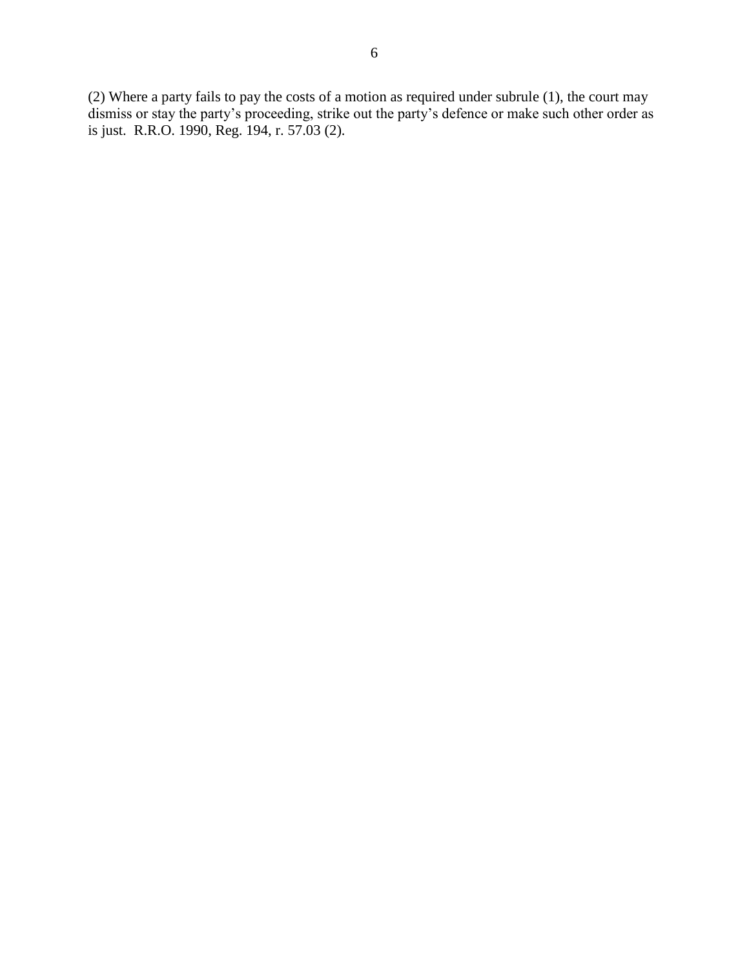(2) Where a party fails to pay the costs of a motion as required under subrule (1), the court may dismiss or stay the party's proceeding, strike out the party's defence or make such other order as is just. R.R.O. 1990, Reg. 194, r. 57.03 (2).